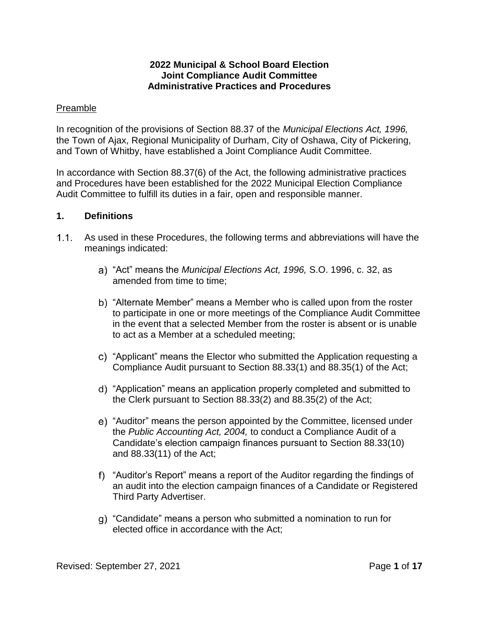#### **2022 Municipal & School Board Election Joint Compliance Audit Committee Administrative Practices and Procedures**

#### Preamble

In recognition of the provisions of Section 88.37 of the *Municipal Elections Act, 1996,* the Town of Ajax, Regional Municipality of Durham, City of Oshawa, City of Pickering, and Town of Whitby, have established a Joint Compliance Audit Committee.

In accordance with Section 88.37(6) of the Act, the following administrative practices and Procedures have been established for the 2022 Municipal Election Compliance Audit Committee to fulfill its duties in a fair, open and responsible manner.

#### **1. Definitions**

- As used in these Procedures, the following terms and abbreviations will have the meanings indicated:
	- "Act" means the *Municipal Elections Act, 1996,* S.O. 1996, c. 32, as amended from time to time;
	- b) "Alternate Member" means a Member who is called upon from the roster to participate in one or more meetings of the Compliance Audit Committee in the event that a selected Member from the roster is absent or is unable to act as a Member at a scheduled meeting;
	- "Applicant" means the Elector who submitted the Application requesting a Compliance Audit pursuant to Section 88.33(1) and 88.35(1) of the Act;
	- "Application" means an application properly completed and submitted to the Clerk pursuant to Section 88.33(2) and 88.35(2) of the Act;
	- e) "Auditor" means the person appointed by the Committee, licensed under the *Public Accounting Act, 2004,* to conduct a Compliance Audit of a Candidate's election campaign finances pursuant to Section 88.33(10) and 88.33(11) of the Act;
	- "Auditor's Report" means a report of the Auditor regarding the findings of an audit into the election campaign finances of a Candidate or Registered Third Party Advertiser.
	- "Candidate" means a person who submitted a nomination to run for elected office in accordance with the Act;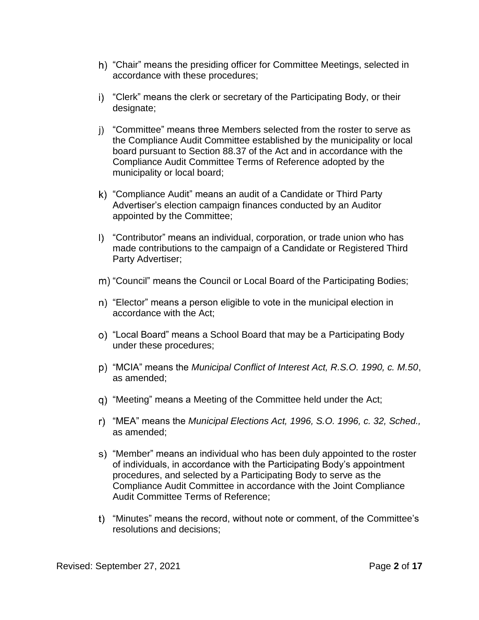- "Chair" means the presiding officer for Committee Meetings, selected in accordance with these procedures;
- "Clerk" means the clerk or secretary of the Participating Body, or their designate;
- i) "Committee" means three Members selected from the roster to serve as the Compliance Audit Committee established by the municipality or local board pursuant to Section 88.37 of the Act and in accordance with the Compliance Audit Committee Terms of Reference adopted by the municipality or local board;
- "Compliance Audit" means an audit of a Candidate or Third Party Advertiser's election campaign finances conducted by an Auditor appointed by the Committee;
- "Contributor" means an individual, corporation, or trade union who has made contributions to the campaign of a Candidate or Registered Third Party Advertiser;
- "Council" means the Council or Local Board of the Participating Bodies;
- n) "Elector" means a person eligible to vote in the municipal election in accordance with the Act;
- "Local Board" means a School Board that may be a Participating Body under these procedures;
- "MCIA" means the *Municipal Conflict of Interest Act, R.S.O. 1990, c. M.50*, as amended;
- "Meeting" means a Meeting of the Committee held under the Act;
- "MEA" means the *Municipal Elections Act, 1996, S.O. 1996, c. 32, Sched.,*  as amended;
- "Member" means an individual who has been duly appointed to the roster of individuals, in accordance with the Participating Body's appointment procedures, and selected by a Participating Body to serve as the Compliance Audit Committee in accordance with the Joint Compliance Audit Committee Terms of Reference;
- "Minutes" means the record, without note or comment, of the Committee's resolutions and decisions;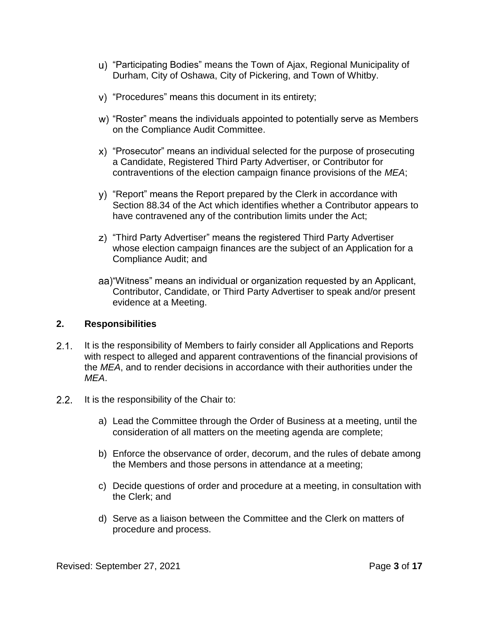- "Participating Bodies" means the Town of Ajax, Regional Municipality of Durham, City of Oshawa, City of Pickering, and Town of Whitby.
- "Procedures" means this document in its entirety;
- "Roster" means the individuals appointed to potentially serve as Members on the Compliance Audit Committee.
- "Prosecutor" means an individual selected for the purpose of prosecuting a Candidate, Registered Third Party Advertiser, or Contributor for contraventions of the election campaign finance provisions of the *MEA*;
- "Report" means the Report prepared by the Clerk in accordance with Section 88.34 of the Act which identifies whether a Contributor appears to have contravened any of the contribution limits under the Act;
- "Third Party Advertiser" means the registered Third Party Advertiser whose election campaign finances are the subject of an Application for a Compliance Audit; and
- "Witness" means an individual or organization requested by an Applicant, Contributor, Candidate, or Third Party Advertiser to speak and/or present evidence at a Meeting.

#### **2. Responsibilities**

- $2.1.$ It is the responsibility of Members to fairly consider all Applications and Reports with respect to alleged and apparent contraventions of the financial provisions of the *MEA*, and to render decisions in accordance with their authorities under the *MEA*.
- $2.2.$ It is the responsibility of the Chair to:
	- a) Lead the Committee through the Order of Business at a meeting, until the consideration of all matters on the meeting agenda are complete;
	- b) Enforce the observance of order, decorum, and the rules of debate among the Members and those persons in attendance at a meeting;
	- c) Decide questions of order and procedure at a meeting, in consultation with the Clerk; and
	- d) Serve as a liaison between the Committee and the Clerk on matters of procedure and process.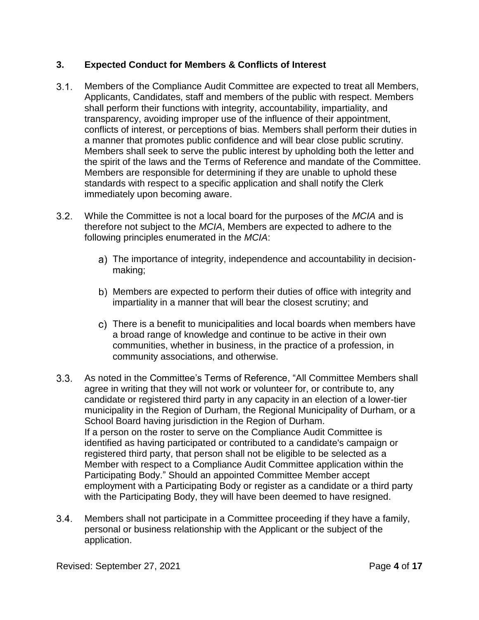# <span id="page-3-0"></span>**3. Expected Conduct for Members & Conflicts of Interest**

- $3.1.$ Members of the Compliance Audit Committee are expected to treat all Members, Applicants, Candidates, staff and members of the public with respect. Members shall perform their functions with integrity, accountability, impartiality, and transparency, avoiding improper use of the influence of their appointment, conflicts of interest, or perceptions of bias. Members shall perform their duties in a manner that promotes public confidence and will bear close public scrutiny. Members shall seek to serve the public interest by upholding both the letter and the spirit of the laws and the Terms of Reference and mandate of the Committee. Members are responsible for determining if they are unable to uphold these standards with respect to a specific application and shall notify the Clerk immediately upon becoming aware.
- $3.2.$ While the Committee is not a local board for the purposes of the *MCIA* and is therefore not subject to the *MCIA*, Members are expected to adhere to the following principles enumerated in the *MCIA*:
	- The importance of integrity, independence and accountability in decisionmaking;
	- b) Members are expected to perform their duties of office with integrity and impartiality in a manner that will bear the closest scrutiny; and
	- There is a benefit to municipalities and local boards when members have a broad range of knowledge and continue to be active in their own communities, whether in business, in the practice of a profession, in community associations, and otherwise.
- $3.3.$ As noted in the Committee's Terms of Reference, "All Committee Members shall agree in writing that they will not work or volunteer for, or contribute to, any candidate or registered third party in any capacity in an election of a lower-tier municipality in the Region of Durham, the Regional Municipality of Durham, or a School Board having jurisdiction in the Region of Durham. If a person on the roster to serve on the Compliance Audit Committee is identified as having participated or contributed to a candidate's campaign or registered third party, that person shall not be eligible to be selected as a Member with respect to a Compliance Audit Committee application within the Participating Body." Should an appointed Committee Member accept employment with a Participating Body or register as a candidate or a third party with the Participating Body, they will have been deemed to have resigned.
- $3.4.$ Members shall not participate in a Committee proceeding if they have a family, personal or business relationship with the Applicant or the subject of the application.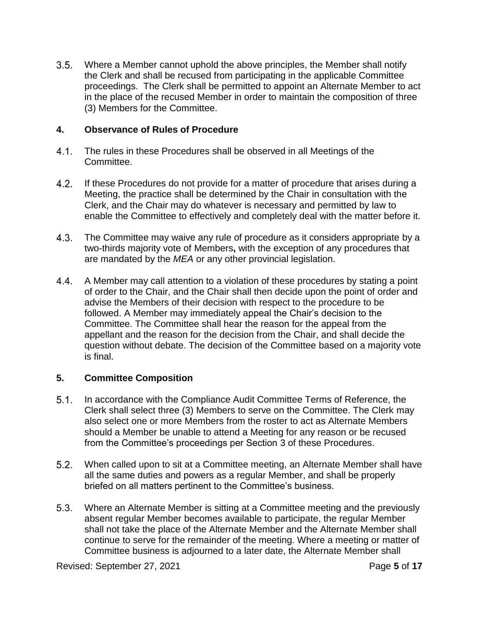$3.5.$ Where a Member cannot uphold the above principles, the Member shall notify the Clerk and shall be recused from participating in the applicable Committee proceedings. The Clerk shall be permitted to appoint an Alternate Member to act in the place of the recused Member in order to maintain the composition of three (3) Members for the Committee.

## **4. Observance of Rules of Procedure**

- $4.1.$ The rules in these Procedures shall be observed in all Meetings of the Committee.
- $4.2.$ If these Procedures do not provide for a matter of procedure that arises during a Meeting, the practice shall be determined by the Chair in consultation with the Clerk, and the Chair may do whatever is necessary and permitted by law to enable the Committee to effectively and completely deal with the matter before it.
- $4.3.$ The Committee may waive any rule of procedure as it considers appropriate by a two-thirds majority vote of Members**,** with the exception of any procedures that are mandated by the *MEA* or any other provincial legislation.
- $4.4.$ A Member may call attention to a violation of these procedures by stating a point of order to the Chair, and the Chair shall then decide upon the point of order and advise the Members of their decision with respect to the procedure to be followed. A Member may immediately appeal the Chair's decision to the Committee. The Committee shall hear the reason for the appeal from the appellant and the reason for the decision from the Chair, and shall decide the question without debate. The decision of the Committee based on a majority vote is final.

## **5. Committee Composition**

- $5.1.$ In accordance with the Compliance Audit Committee Terms of Reference, the Clerk shall select three (3) Members to serve on the Committee. The Clerk may also select one or more Members from the roster to act as Alternate Members should a Member be unable to attend a Meeting for any reason or be recused from the Committee's proceedings per Section [3](#page-3-0) of these Procedures.
- $5.2.$ When called upon to sit at a Committee meeting, an Alternate Member shall have all the same duties and powers as a regular Member, and shall be properly briefed on all matters pertinent to the Committee's business.
- $5.3.$ Where an Alternate Member is sitting at a Committee meeting and the previously absent regular Member becomes available to participate, the regular Member shall not take the place of the Alternate Member and the Alternate Member shall continue to serve for the remainder of the meeting. Where a meeting or matter of Committee business is adjourned to a later date, the Alternate Member shall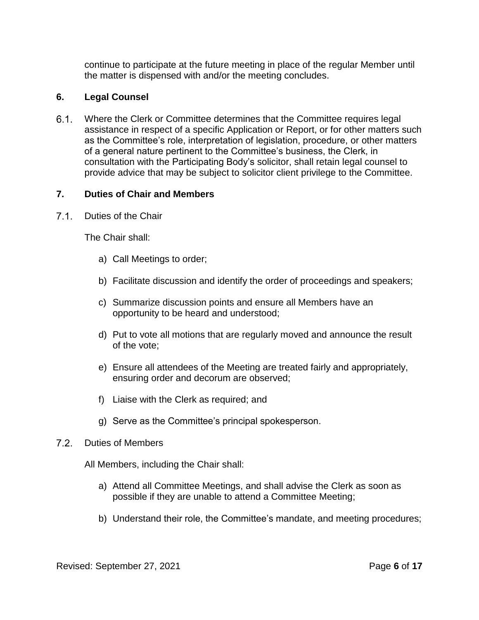continue to participate at the future meeting in place of the regular Member until the matter is dispensed with and/or the meeting concludes.

#### **6. Legal Counsel**

 $6.1.$ Where the Clerk or Committee determines that the Committee requires legal assistance in respect of a specific Application or Report, or for other matters such as the Committee's role, interpretation of legislation, procedure, or other matters of a general nature pertinent to the Committee's business, the Clerk, in consultation with the Participating Body's solicitor, shall retain legal counsel to provide advice that may be subject to solicitor client privilege to the Committee.

#### **7. Duties of Chair and Members**

 $7.1.$ Duties of the Chair

The Chair shall:

- a) Call Meetings to order;
- b) Facilitate discussion and identify the order of proceedings and speakers;
- c) Summarize discussion points and ensure all Members have an opportunity to be heard and understood;
- d) Put to vote all motions that are regularly moved and announce the result of the vote;
- e) Ensure all attendees of the Meeting are treated fairly and appropriately, ensuring order and decorum are observed;
- f) Liaise with the Clerk as required; and
- g) Serve as the Committee's principal spokesperson.
- 72 Duties of Members

All Members, including the Chair shall:

- a) Attend all Committee Meetings, and shall advise the Clerk as soon as possible if they are unable to attend a Committee Meeting;
- b) Understand their role, the Committee's mandate, and meeting procedures;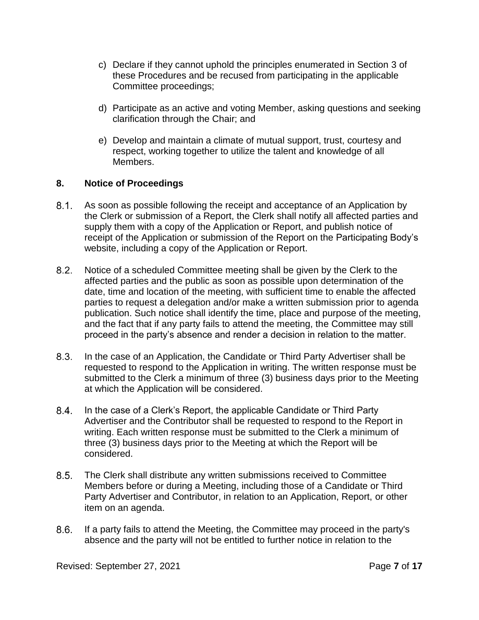- c) Declare if they cannot uphold the principles enumerated in Section [3](#page-3-0) of these Procedures and be recused from participating in the applicable Committee proceedings;
- d) Participate as an active and voting Member, asking questions and seeking clarification through the Chair; and
- e) Develop and maintain a climate of mutual support, trust, courtesy and respect, working together to utilize the talent and knowledge of all Members.

## **8. Notice of Proceedings**

- $8.1.$ As soon as possible following the receipt and acceptance of an Application by the Clerk or submission of a Report, the Clerk shall notify all affected parties and supply them with a copy of the Application or Report, and publish notice of receipt of the Application or submission of the Report on the Participating Body's website, including a copy of the Application or Report.
- $8.2.$ Notice of a scheduled Committee meeting shall be given by the Clerk to the affected parties and the public as soon as possible upon determination of the date, time and location of the meeting, with sufficient time to enable the affected parties to request a delegation and/or make a written submission prior to agenda publication. Such notice shall identify the time, place and purpose of the meeting, and the fact that if any party fails to attend the meeting, the Committee may still proceed in the party's absence and render a decision in relation to the matter.
- $8.3.$ In the case of an Application, the Candidate or Third Party Advertiser shall be requested to respond to the Application in writing. The written response must be submitted to the Clerk a minimum of three (3) business days prior to the Meeting at which the Application will be considered.
- $8.4.$ In the case of a Clerk's Report, the applicable Candidate or Third Party Advertiser and the Contributor shall be requested to respond to the Report in writing. Each written response must be submitted to the Clerk a minimum of three (3) business days prior to the Meeting at which the Report will be considered.
- $8.5.$ The Clerk shall distribute any written submissions received to Committee Members before or during a Meeting, including those of a Candidate or Third Party Advertiser and Contributor, in relation to an Application, Report, or other item on an agenda.
- $8.6.$ If a party fails to attend the Meeting, the Committee may proceed in the party's absence and the party will not be entitled to further notice in relation to the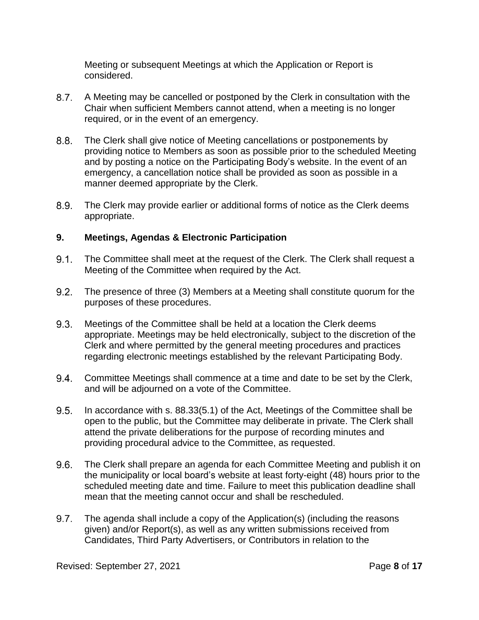Meeting or subsequent Meetings at which the Application or Report is considered.

- $8.7.$ A Meeting may be cancelled or postponed by the Clerk in consultation with the Chair when sufficient Members cannot attend, when a meeting is no longer required, or in the event of an emergency.
- $8.8.$ The Clerk shall give notice of Meeting cancellations or postponements by providing notice to Members as soon as possible prior to the scheduled Meeting and by posting a notice on the Participating Body's website. In the event of an emergency, a cancellation notice shall be provided as soon as possible in a manner deemed appropriate by the Clerk.
- $8.9.$ The Clerk may provide earlier or additional forms of notice as the Clerk deems appropriate.

# **9. Meetings, Agendas & Electronic Participation**

- $9.1.$ The Committee shall meet at the request of the Clerk. The Clerk shall request a Meeting of the Committee when required by the Act.
- $9.2.$ The presence of three (3) Members at a Meeting shall constitute quorum for the purposes of these procedures.
- $9.3.$ Meetings of the Committee shall be held at a location the Clerk deems appropriate. Meetings may be held electronically, subject to the discretion of the Clerk and where permitted by the general meeting procedures and practices regarding electronic meetings established by the relevant Participating Body.
- $9.4.$ Committee Meetings shall commence at a time and date to be set by the Clerk, and will be adjourned on a vote of the Committee.
- $9.5.$ In accordance with s. 88.33(5.1) of the Act, Meetings of the Committee shall be open to the public, but the Committee may deliberate in private. The Clerk shall attend the private deliberations for the purpose of recording minutes and providing procedural advice to the Committee, as requested.
- $9.6.$ The Clerk shall prepare an agenda for each Committee Meeting and publish it on the municipality or local board's website at least forty-eight (48) hours prior to the scheduled meeting date and time. Failure to meet this publication deadline shall mean that the meeting cannot occur and shall be rescheduled.
- $9.7$ The agenda shall include a copy of the Application(s) (including the reasons given) and/or Report(s), as well as any written submissions received from Candidates, Third Party Advertisers, or Contributors in relation to the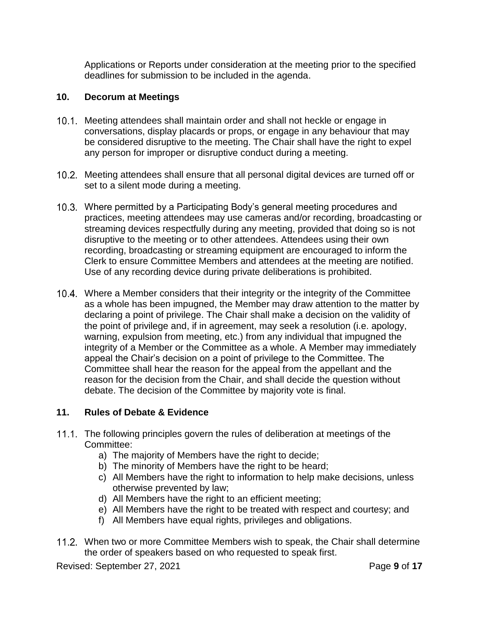Applications or Reports under consideration at the meeting prior to the specified deadlines for submission to be included in the agenda.

#### **10. Decorum at Meetings**

- 10.1. Meeting attendees shall maintain order and shall not heckle or engage in conversations, display placards or props, or engage in any behaviour that may be considered disruptive to the meeting. The Chair shall have the right to expel any person for improper or disruptive conduct during a meeting.
- 10.2. Meeting attendees shall ensure that all personal digital devices are turned off or set to a silent mode during a meeting.
- Where permitted by a Participating Body's general meeting procedures and practices, meeting attendees may use cameras and/or recording, broadcasting or streaming devices respectfully during any meeting, provided that doing so is not disruptive to the meeting or to other attendees. Attendees using their own recording, broadcasting or streaming equipment are encouraged to inform the Clerk to ensure Committee Members and attendees at the meeting are notified. Use of any recording device during private deliberations is prohibited.
- Where a Member considers that their integrity or the integrity of the Committee as a whole has been impugned, the Member may draw attention to the matter by declaring a point of privilege. The Chair shall make a decision on the validity of the point of privilege and, if in agreement, may seek a resolution (i.e. apology, warning, expulsion from meeting, etc.) from any individual that impugned the integrity of a Member or the Committee as a whole. A Member may immediately appeal the Chair's decision on a point of privilege to the Committee. The Committee shall hear the reason for the appeal from the appellant and the reason for the decision from the Chair, and shall decide the question without debate. The decision of the Committee by majority vote is final.

## **11. Rules of Debate & Evidence**

- 11.1. The following principles govern the rules of deliberation at meetings of the Committee:
	- a) The majority of Members have the right to decide;
	- b) The minority of Members have the right to be heard;
	- c) All Members have the right to information to help make decisions, unless otherwise prevented by law;
	- d) All Members have the right to an efficient meeting;
	- e) All Members have the right to be treated with respect and courtesy; and
	- f) All Members have equal rights, privileges and obligations.
- 11.2. When two or more Committee Members wish to speak, the Chair shall determine the order of speakers based on who requested to speak first.

Revised: September 27, 2021 Page **9** of **17**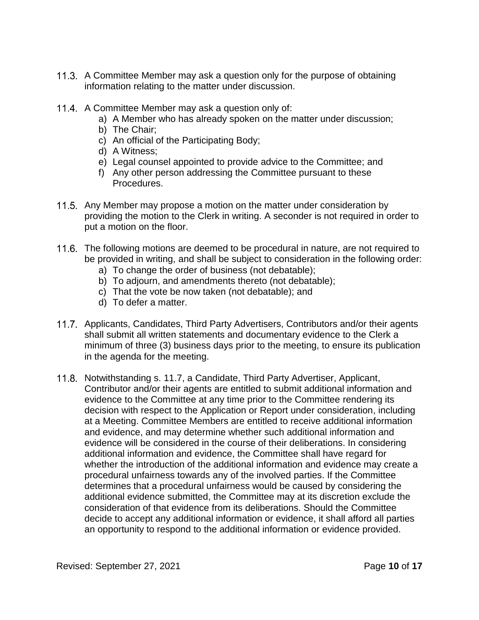- 11.3. A Committee Member may ask a question only for the purpose of obtaining information relating to the matter under discussion.
- 11.4. A Committee Member may ask a question only of:
	- a) A Member who has already spoken on the matter under discussion;
	- b) The Chair;
	- c) An official of the Participating Body;
	- d) A Witness;
	- e) Legal counsel appointed to provide advice to the Committee; and
	- f) Any other person addressing the Committee pursuant to these Procedures.
- 11.5. Any Member may propose a motion on the matter under consideration by providing the motion to the Clerk in writing. A seconder is not required in order to put a motion on the floor.
- 11.6. The following motions are deemed to be procedural in nature, are not required to be provided in writing, and shall be subject to consideration in the following order:
	- a) To change the order of business (not debatable);
	- b) To adjourn, and amendments thereto (not debatable);
	- c) That the vote be now taken (not debatable); and
	- d) To defer a matter.
- <span id="page-9-0"></span>11.7. Applicants, Candidates, Third Party Advertisers, Contributors and/or their agents shall submit all written statements and documentary evidence to the Clerk a minimum of three (3) business days prior to the meeting, to ensure its publication in the agenda for the meeting.
- <span id="page-9-1"></span>11.8. Notwithstanding s. [11.7,](#page-9-0) a Candidate, Third Party Advertiser, Applicant, Contributor and/or their agents are entitled to submit additional information and evidence to the Committee at any time prior to the Committee rendering its decision with respect to the Application or Report under consideration, including at a Meeting. Committee Members are entitled to receive additional information and evidence, and may determine whether such additional information and evidence will be considered in the course of their deliberations. In considering additional information and evidence, the Committee shall have regard for whether the introduction of the additional information and evidence may create a procedural unfairness towards any of the involved parties. If the Committee determines that a procedural unfairness would be caused by considering the additional evidence submitted, the Committee may at its discretion exclude the consideration of that evidence from its deliberations. Should the Committee decide to accept any additional information or evidence, it shall afford all parties an opportunity to respond to the additional information or evidence provided.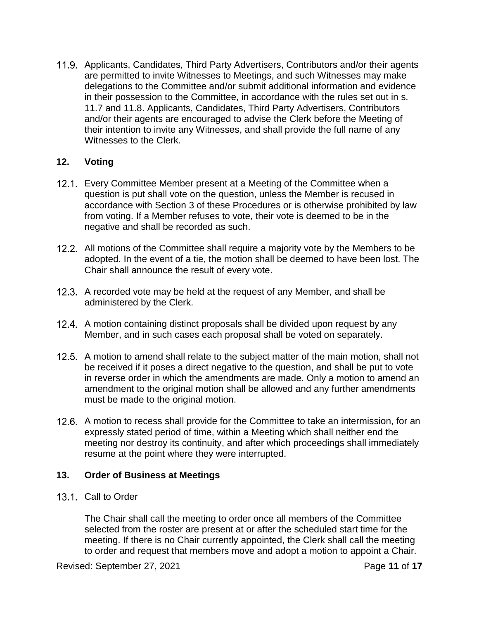11.9. Applicants, Candidates, Third Party Advertisers, Contributors and/or their agents are permitted to invite Witnesses to Meetings, and such Witnesses may make delegations to the Committee and/or submit additional information and evidence in their possession to the Committee, in accordance with the rules set out in s. [11.7](#page-9-0) and [11.8.](#page-9-1) Applicants, Candidates, Third Party Advertisers, Contributors and/or their agents are encouraged to advise the Clerk before the Meeting of their intention to invite any Witnesses, and shall provide the full name of any Witnesses to the Clerk.

## **12. Voting**

- 12.1. Every Committee Member present at a Meeting of the Committee when a question is put shall vote on the question, unless the Member is recused in accordance with Section [3](#page-3-0) of these Procedures or is otherwise prohibited by law from voting. If a Member refuses to vote, their vote is deemed to be in the negative and shall be recorded as such.
- 12.2. All motions of the Committee shall require a majority vote by the Members to be adopted. In the event of a tie, the motion shall be deemed to have been lost. The Chair shall announce the result of every vote.
- 12.3. A recorded vote may be held at the request of any Member, and shall be administered by the Clerk.
- 12.4. A motion containing distinct proposals shall be divided upon request by any Member, and in such cases each proposal shall be voted on separately.
- 12.5. A motion to amend shall relate to the subject matter of the main motion, shall not be received if it poses a direct negative to the question, and shall be put to vote in reverse order in which the amendments are made. Only a motion to amend an amendment to the original motion shall be allowed and any further amendments must be made to the original motion.
- 12.6. A motion to recess shall provide for the Committee to take an intermission, for an expressly stated period of time, within a Meeting which shall neither end the meeting nor destroy its continuity, and after which proceedings shall immediately resume at the point where they were interrupted.

# **13. Order of Business at Meetings**

13.1. Call to Order

The Chair shall call the meeting to order once all members of the Committee selected from the roster are present at or after the scheduled start time for the meeting. If there is no Chair currently appointed, the Clerk shall call the meeting to order and request that members move and adopt a motion to appoint a Chair.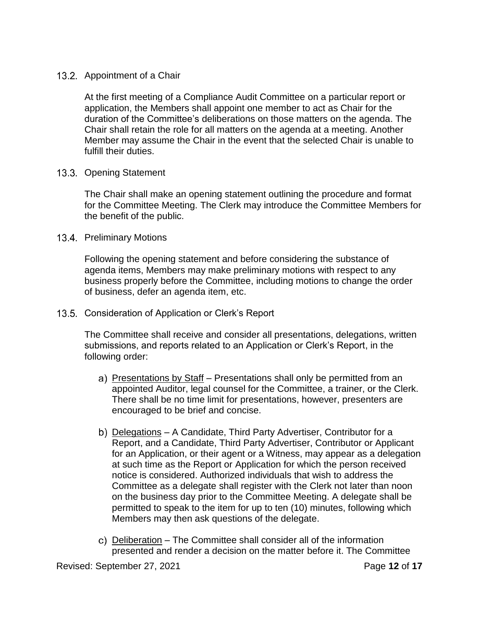## 13.2. Appointment of a Chair

At the first meeting of a Compliance Audit Committee on a particular report or application, the Members shall appoint one member to act as Chair for the duration of the Committee's deliberations on those matters on the agenda. The Chair shall retain the role for all matters on the agenda at a meeting. Another Member may assume the Chair in the event that the selected Chair is unable to fulfill their duties.

# 13.3. Opening Statement

The Chair shall make an opening statement outlining the procedure and format for the Committee Meeting. The Clerk may introduce the Committee Members for the benefit of the public.

# 13.4. Preliminary Motions

Following the opening statement and before considering the substance of agenda items, Members may make preliminary motions with respect to any business properly before the Committee, including motions to change the order of business, defer an agenda item, etc.

13.5. Consideration of Application or Clerk's Report

The Committee shall receive and consider all presentations, delegations, written submissions, and reports related to an Application or Clerk's Report, in the following order:

- a) Presentations by Staff Presentations shall only be permitted from an appointed Auditor, legal counsel for the Committee, a trainer, or the Clerk. There shall be no time limit for presentations, however, presenters are encouraged to be brief and concise.
- b) Delegations A Candidate, Third Party Advertiser, Contributor for a Report, and a Candidate, Third Party Advertiser, Contributor or Applicant for an Application, or their agent or a Witness, may appear as a delegation at such time as the Report or Application for which the person received notice is considered. Authorized individuals that wish to address the Committee as a delegate shall register with the Clerk not later than noon on the business day prior to the Committee Meeting. A delegate shall be permitted to speak to the item for up to ten (10) minutes, following which Members may then ask questions of the delegate.
- Deliberation The Committee shall consider all of the information presented and render a decision on the matter before it. The Committee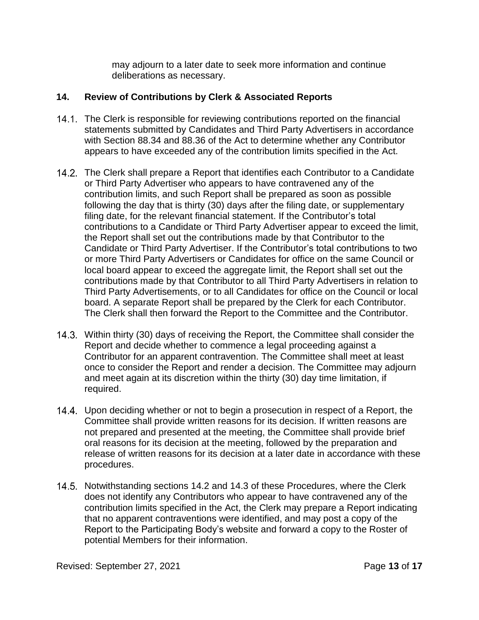may adjourn to a later date to seek more information and continue deliberations as necessary.

# **14. Review of Contributions by Clerk & Associated Reports**

- 14.1. The Clerk is responsible for reviewing contributions reported on the financial statements submitted by Candidates and Third Party Advertisers in accordance with Section 88.34 and 88.36 of the Act to determine whether any Contributor appears to have exceeded any of the contribution limits specified in the Act.
- <span id="page-12-0"></span>14.2. The Clerk shall prepare a Report that identifies each Contributor to a Candidate or Third Party Advertiser who appears to have contravened any of the contribution limits, and such Report shall be prepared as soon as possible following the day that is thirty (30) days after the filing date, or supplementary filing date, for the relevant financial statement. If the Contributor's total contributions to a Candidate or Third Party Advertiser appear to exceed the limit, the Report shall set out the contributions made by that Contributor to the Candidate or Third Party Advertiser. If the Contributor's total contributions to two or more Third Party Advertisers or Candidates for office on the same Council or local board appear to exceed the aggregate limit, the Report shall set out the contributions made by that Contributor to all Third Party Advertisers in relation to Third Party Advertisements, or to all Candidates for office on the Council or local board. A separate Report shall be prepared by the Clerk for each Contributor. The Clerk shall then forward the Report to the Committee and the Contributor.
- <span id="page-12-1"></span>Within thirty (30) days of receiving the Report, the Committee shall consider the Report and decide whether to commence a legal proceeding against a Contributor for an apparent contravention. The Committee shall meet at least once to consider the Report and render a decision. The Committee may adjourn and meet again at its discretion within the thirty (30) day time limitation, if required.
- 14.4. Upon deciding whether or not to begin a prosecution in respect of a Report, the Committee shall provide written reasons for its decision. If written reasons are not prepared and presented at the meeting, the Committee shall provide brief oral reasons for its decision at the meeting, followed by the preparation and release of written reasons for its decision at a later date in accordance with these procedures.
- 14.5. Notwithstanding sections [14.2](#page-12-0) and [14.3](#page-12-1) of these Procedures, where the Clerk does not identify any Contributors who appear to have contravened any of the contribution limits specified in the Act, the Clerk may prepare a Report indicating that no apparent contraventions were identified, and may post a copy of the Report to the Participating Body's website and forward a copy to the Roster of potential Members for their information.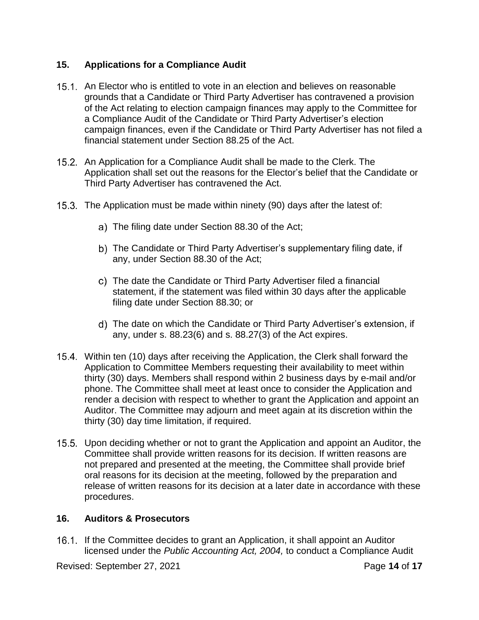# **15. Applications for a Compliance Audit**

- 15.1. An Elector who is entitled to vote in an election and believes on reasonable grounds that a Candidate or Third Party Advertiser has contravened a provision of the Act relating to election campaign finances may apply to the Committee for a Compliance Audit of the Candidate or Third Party Advertiser's election campaign finances, even if the Candidate or Third Party Advertiser has not filed a financial statement under Section 88.25 of the Act.
- 15.2. An Application for a Compliance Audit shall be made to the Clerk. The Application shall set out the reasons for the Elector's belief that the Candidate or Third Party Advertiser has contravened the Act.
- 15.3. The Application must be made within ninety (90) days after the latest of:
	- The filing date under Section 88.30 of the Act;
	- b) The Candidate or Third Party Advertiser's supplementary filing date, if any, under Section 88.30 of the Act;
	- The date the Candidate or Third Party Advertiser filed a financial statement, if the statement was filed within 30 days after the applicable filing date under Section 88.30; or
	- The date on which the Candidate or Third Party Advertiser's extension, if any, under s. 88.23(6) and s. 88.27(3) of the Act expires.
- Within ten (10) days after receiving the Application, the Clerk shall forward the Application to Committee Members requesting their availability to meet within thirty (30) days. Members shall respond within 2 business days by e-mail and/or phone. The Committee shall meet at least once to consider the Application and render a decision with respect to whether to grant the Application and appoint an Auditor. The Committee may adjourn and meet again at its discretion within the thirty (30) day time limitation, if required.
- 15.5. Upon deciding whether or not to grant the Application and appoint an Auditor, the Committee shall provide written reasons for its decision. If written reasons are not prepared and presented at the meeting, the Committee shall provide brief oral reasons for its decision at the meeting, followed by the preparation and release of written reasons for its decision at a later date in accordance with these procedures.

## **16. Auditors & Prosecutors**

16.1. If the Committee decides to grant an Application, it shall appoint an Auditor licensed under the *Public Accounting Act, 2004,* to conduct a Compliance Audit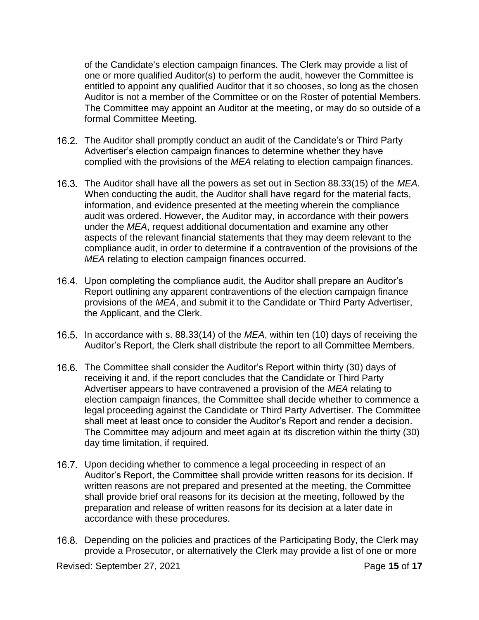of the Candidate's election campaign finances. The Clerk may provide a list of one or more qualified Auditor(s) to perform the audit, however the Committee is entitled to appoint any qualified Auditor that it so chooses, so long as the chosen Auditor is not a member of the Committee or on the Roster of potential Members. The Committee may appoint an Auditor at the meeting, or may do so outside of a formal Committee Meeting.

- 16.2. The Auditor shall promptly conduct an audit of the Candidate's or Third Party Advertiser's election campaign finances to determine whether they have complied with the provisions of the *MEA* relating to election campaign finances.
- The Auditor shall have all the powers as set out in Section 88.33(15) of the *MEA*. When conducting the audit, the Auditor shall have regard for the material facts, information, and evidence presented at the meeting wherein the compliance audit was ordered. However, the Auditor may, in accordance with their powers under the *MEA*, request additional documentation and examine any other aspects of the relevant financial statements that they may deem relevant to the compliance audit, in order to determine if a contravention of the provisions of the *MEA* relating to election campaign finances occurred.
- 16.4. Upon completing the compliance audit, the Auditor shall prepare an Auditor's Report outlining any apparent contraventions of the election campaign finance provisions of the *MEA*, and submit it to the Candidate or Third Party Advertiser, the Applicant, and the Clerk.
- 16.5. In accordance with s. 88.33(14) of the *MEA*, within ten (10) days of receiving the Auditor's Report, the Clerk shall distribute the report to all Committee Members.
- 16.6. The Committee shall consider the Auditor's Report within thirty (30) days of receiving it and, if the report concludes that the Candidate or Third Party Advertiser appears to have contravened a provision of the *MEA* relating to election campaign finances, the Committee shall decide whether to commence a legal proceeding against the Candidate or Third Party Advertiser. The Committee shall meet at least once to consider the Auditor's Report and render a decision. The Committee may adjourn and meet again at its discretion within the thirty (30) day time limitation, if required.
- 16.7. Upon deciding whether to commence a legal proceeding in respect of an Auditor's Report, the Committee shall provide written reasons for its decision. If written reasons are not prepared and presented at the meeting, the Committee shall provide brief oral reasons for its decision at the meeting, followed by the preparation and release of written reasons for its decision at a later date in accordance with these procedures.
- 16.8. Depending on the policies and practices of the Participating Body, the Clerk may provide a Prosecutor, or alternatively the Clerk may provide a list of one or more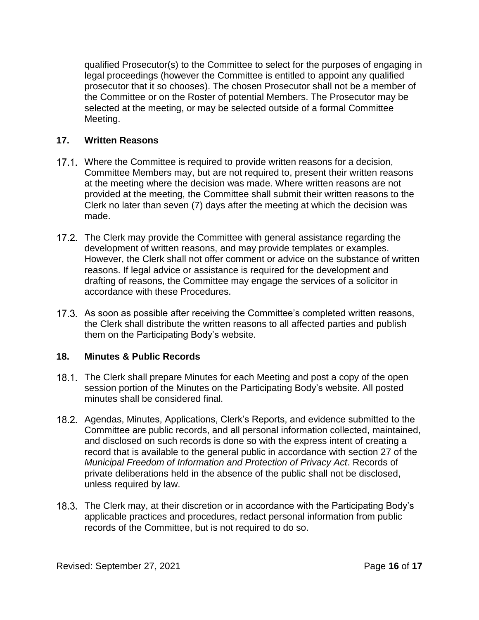qualified Prosecutor(s) to the Committee to select for the purposes of engaging in legal proceedings (however the Committee is entitled to appoint any qualified prosecutor that it so chooses). The chosen Prosecutor shall not be a member of the Committee or on the Roster of potential Members. The Prosecutor may be selected at the meeting, or may be selected outside of a formal Committee Meeting.

# **17. Written Reasons**

- 17.1. Where the Committee is required to provide written reasons for a decision, Committee Members may, but are not required to, present their written reasons at the meeting where the decision was made. Where written reasons are not provided at the meeting, the Committee shall submit their written reasons to the Clerk no later than seven (7) days after the meeting at which the decision was made.
- 17.2. The Clerk may provide the Committee with general assistance regarding the development of written reasons, and may provide templates or examples. However, the Clerk shall not offer comment or advice on the substance of written reasons. If legal advice or assistance is required for the development and drafting of reasons, the Committee may engage the services of a solicitor in accordance with these Procedures.
- 17.3. As soon as possible after receiving the Committee's completed written reasons, the Clerk shall distribute the written reasons to all affected parties and publish them on the Participating Body's website.

# **18. Minutes & Public Records**

- The Clerk shall prepare Minutes for each Meeting and post a copy of the open session portion of the Minutes on the Participating Body's website. All posted minutes shall be considered final.
- 18.2. Agendas, Minutes, Applications, Clerk's Reports, and evidence submitted to the Committee are public records, and all personal information collected, maintained, and disclosed on such records is done so with the express intent of creating a record that is available to the general public in accordance with section 27 of the *Municipal Freedom of Information and Protection of Privacy Act*. Records of private deliberations held in the absence of the public shall not be disclosed, unless required by law.
- 18.3. The Clerk may, at their discretion or in accordance with the Participating Body's applicable practices and procedures, redact personal information from public records of the Committee, but is not required to do so.